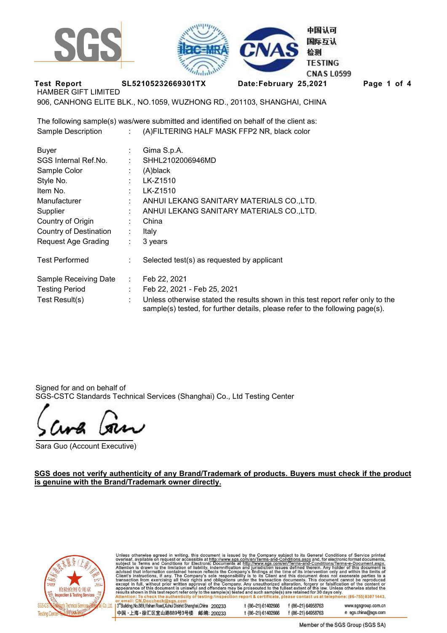



**Test Report SL52105232669301TX Date:February 25,2021 Page 1 of 4** 

HAMBER GIFT LIMITED

906, CANHONG ELITE BLK., NO.1059, WUZHONG RD., 201103, SHANGHAI, CHINA

The following sample(s) was/were submitted and identified on behalf of the client as: Sample Description : (A)FILTERING HALF MASK FFP2 NR, black color

| <b>Buyer</b>               |                | Gima S.p.A.                                                                                                                                                      |
|----------------------------|----------------|------------------------------------------------------------------------------------------------------------------------------------------------------------------|
| SGS Internal Ref.No.       |                | SHHL2102006946MD                                                                                                                                                 |
| Sample Color               | $\blacksquare$ | (A)black                                                                                                                                                         |
| Style No.                  |                | LK-Z1510                                                                                                                                                         |
| Item No.                   |                | LK-Z1510                                                                                                                                                         |
| Manufacturer               |                | ANHUI LEKANG SANITARY MATERIALS CO., LTD.                                                                                                                        |
| Supplier                   |                | ANHUI LEKANG SANITARY MATERIALS CO., LTD.                                                                                                                        |
| Country of Origin          |                | China                                                                                                                                                            |
| Country of Destination     | ÷              | Italy                                                                                                                                                            |
| <b>Request Age Grading</b> | ÷.             | 3 years                                                                                                                                                          |
| <b>Test Performed</b>      | ÷              | Selected test(s) as requested by applicant                                                                                                                       |
| Sample Receiving Date      | ÷.             | Feb 22, 2021                                                                                                                                                     |
| <b>Testing Period</b>      |                | Feb 22, 2021 - Feb 25, 2021                                                                                                                                      |
| Test Result(s)             | ÷              | Unless otherwise stated the results shown in this test report refer only to the<br>sample(s) tested, for further details, please refer to the following page(s). |

Signed for and on behalf of SGS-CSTC Standards Technical Services (Shanghai) Co., Ltd Testing Center

Sara Guo (Account Executive)

**SGS does not verify authenticity of any Brand/Trademark of products. Buyers must check if the product is genuine with the Brand/Trademark owner directly.**



Unless otherwise agreed in writing, this document is issued by the Company subject to its General Conditions of Service printed overleaf, available on requestor accessible at http://www.sgs.com/en/Terms-and-Conditions.aspx

3<sup>rd</sup>Building, No.889, Yishan Road, Xuhui District Shanghai, China 200233 t (86-21) 61402666 f (86-21) 64958763 www.sgsgroup.com.cn 中国·上海·徐汇区宜山路889号3号楼 邮编: 200233 f (86-21) 64958763 e sgs.china@sgs.com t (86-21) 61402666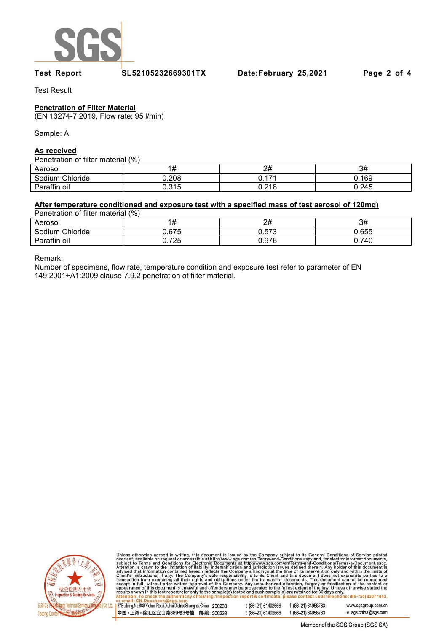

Test Result

# **Penetration of Filter Material**

(EN 13274-7:2019, Flow rate: 95 l/min)

Sample: A

# **As received**

### Penetration of filter material (%)

| $\sim$ . Then allows the material (191 |       |       |       |  |  |  |
|----------------------------------------|-------|-------|-------|--|--|--|
| Aerosol                                |       | 2#    | 3#    |  |  |  |
| Sodium Chloride                        | 0.208 | n 171 | 0.169 |  |  |  |
| Paraffin oil                           | 0.315 | 0.218 | 0.245 |  |  |  |

## **After temperature conditioned and exposure test with a specified mass of test aerosol of 120mg)**

| Penetration of filter material (%) |       |       |       |  |  |  |
|------------------------------------|-------|-------|-------|--|--|--|
| Aerosol                            |       | 2#    | 3#    |  |  |  |
| Sodium Chloride                    | 0.675 | 0.573 | 0.655 |  |  |  |
| Paraffin oil                       | 0.725 | 0.976 | 0.740 |  |  |  |

Remark:

Number of specimens, flow rate, temperature condition and exposure test refer to parameter of EN 149:2001+A1:2009 clause 7.9.2 penetration of filter material.



Unless otherwise agreed in writing, this document is issued by the Company subject to its General Conditions of Service printed<br>overleaf, available on request or accessible at http://www.sgs.com/en/Terms-and-Conditions.as

3<sup>rd</sup> Building, No.889, Yishan Road, Xuhui District Shanghai, China 200233 t (86-21) 61402666 f (86-21) 64958763 中国·上海·徐汇区宜山路889号3号楼 邮编: 200233 f (86-21) 64958763 t (86-21) 61402666

www.sgsgroup.com.cn

e sgs.china@sgs.com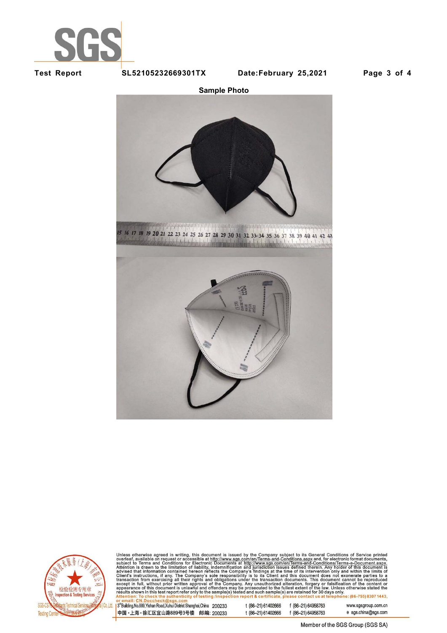



**Sample Photo**





Unless otherwise agreed in writing, this document is issued by the Company subject to its General Conditions of Service printed<br>overleaf, available on request or accessible at http://www.sgs.com/en/Terms-and-Conditions.as

3<sup>rd</sup>Building, No.889, Yishan Road, Xuhui District Shanghai, China 200233 中国·上海·徐汇区宜山路889号3号楼 邮编: 200233 t (86-21) 61402666 f (86-21) 64958763 t (86-21) 61402666

www.sgsgroup.com.cn f (86-21) 64958763 e sgs.china@sgs.com